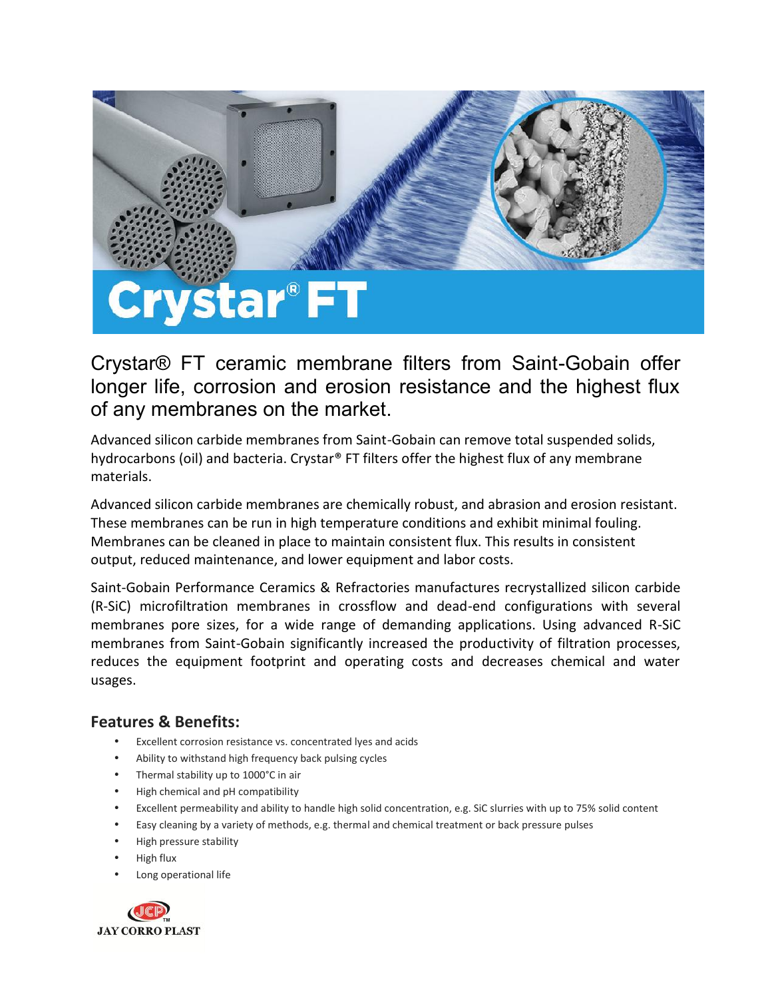

Crystar® FT ceramic membrane filters from Saint-Gobain offer longer life, corrosion and erosion resistance and the highest flux of any membranes on the market.

Advanced silicon carbide membranes from Saint-Gobain can remove total suspended solids, hydrocarbons (oil) and bacteria. Crystar® FT filters offer the highest flux of any membrane materials.

Advanced silicon carbide membranes are chemically robust, and abrasion and erosion resistant. These membranes can be run in high temperature conditions and exhibit minimal fouling. Membranes can be cleaned in place to maintain consistent flux. This results in consistent output, reduced maintenance, and lower equipment and labor costs.

Saint-Gobain Performance Ceramics & Refractories manufactures recrystallized silicon carbide (R-SiC) microfiltration membranes in crossflow and dead-end configurations with several membranes pore sizes, for a wide range of demanding applications. Using advanced R-SiC membranes from Saint-Gobain significantly increased the productivity of filtration processes, reduces the equipment footprint and operating costs and decreases chemical and water usages.

#### **Features & Benefits:**

- Excellent corrosion resistance vs. concentrated lyes and acids
- Ability to withstand high frequency back pulsing cycles
- Thermal stability up to 1000°C in air
- High chemical and pH compatibility
- Excellent permeability and ability to handle high solid concentration, e.g. SiC slurries with up to 75% solid content
- Easy cleaning by a variety of methods, e.g. thermal and chemical treatment or back pressure pulses
- High pressure stability
- High flux
- Long operational life

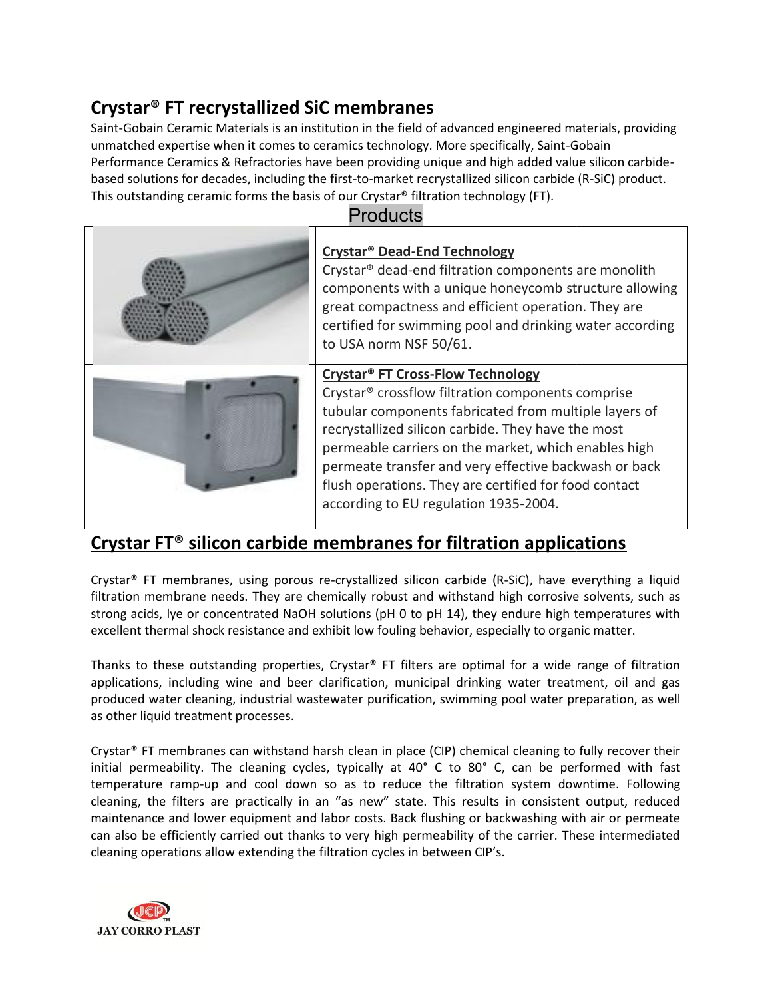### **Crystar® FT recrystallized SiC membranes recrystallized SiC**

Saint-Gobain Ceramic Materials is an institution in the field of advanced engineered materials, providing unmatched expertise when it comes to ceramics technology. More specifically, Saint-Gobain Performance Ceramics & Refractories have been providing unique and high added value silicon carbide based solutions for decades, including the first-to-market recrystallized silicon carbide (R-SiC) product. This outstanding ceramic forms the basis of our Crystar<sup>®</sup> filtration technology (FT). Saint-Gobain Ceramic Materials is an institution in the field of advanced engineered materials, punmatched expertise when it comes to ceramics technology. More specifically, Saint-Gobain<br>Performance Ceramics & Refractories

| <b>Products</b> |                                                                                                                                                                                                                                                                                                                                                                                                                                                        |  |  |
|-----------------|--------------------------------------------------------------------------------------------------------------------------------------------------------------------------------------------------------------------------------------------------------------------------------------------------------------------------------------------------------------------------------------------------------------------------------------------------------|--|--|
|                 | Crystar <sup>®</sup> Dead-End Technology<br>Crystar <sup>®</sup> dead-end filtration components are monolith<br>components with a unique honeycomb structure allowing<br>great compactness and efficient operation. They are<br>certified for swimming pool and drinking water according<br>to USA norm NSF 50/61.                                                                                                                                     |  |  |
|                 | <b>Crystar<sup>®</sup> FT Cross-Flow Technology</b><br>Crystar <sup>®</sup> crossflow filtration components comprise<br>tubular components fabricated from multiple layers of<br>recrystallized silicon carbide. They have the most<br>permeable carriers on the market, which enables high<br>permeate transfer and very effective backwash or back<br>flush operations. They are certified for food contact<br>according to EU regulation 1935-2004. |  |  |

### **Crystar FT® silicon carbide membranes for filtration applications**

Crystar® FT membranes, using porous re-crystallized silicon carbide (R-SiC), have everything a liquid filtration membrane needs. They are chemically robust and withstand high corrosive solvents, such as strong acids, lye or concentrated NaOH solutions (pH 0 to pH 14), they endure high temperatures with excellent thermal shock resistance and exhibit low fouling behavior, especially to organic matter. filtration membrane needs. They are chemically robust and withstand high corrosive solvents, such as<br>strong acids, lye or concentrated NaOH solutions (pH 0 to pH 14), they endure high temperatures with<br>excellent thermal sh

Thanks to these outstanding properties, Crystar® FT filters are optimal for a wide range of filtration applications, including wine and beer clarification, municipal drinking water treatment, oil and gas produced water cleaning, industrial wastewater purification, swimming pool water preparation, as well as other liquid treatment processes.

Crystar® FT membranes can withstand harsh clean in place (CIP) chemical cleaning to fully recover their initial permeability. The cleaning cycles, typically at 40° C to 80° C, can be performed with fast temperature ramp-up and cool down so as to reduce the filtration system downtime. Following cleaning, the filters are practically in an "as new" state. This results in consistent output, reduced maintenance and lower equipment and labor costs. Back flushing or backwashing with air or permeate can also be efficiently carried out thanks to very high permeability of the carrier. These intermediated cleaning operations allow extending the filtration cycles in between CIP's. Crystar® FT membranes can withstand harsh clean in place (CIP) chemical cleaning to fully recover their initial permeability. The cleaning cycles, typically at 40° C to 80° C, can be performed with fast temperature ramp-up

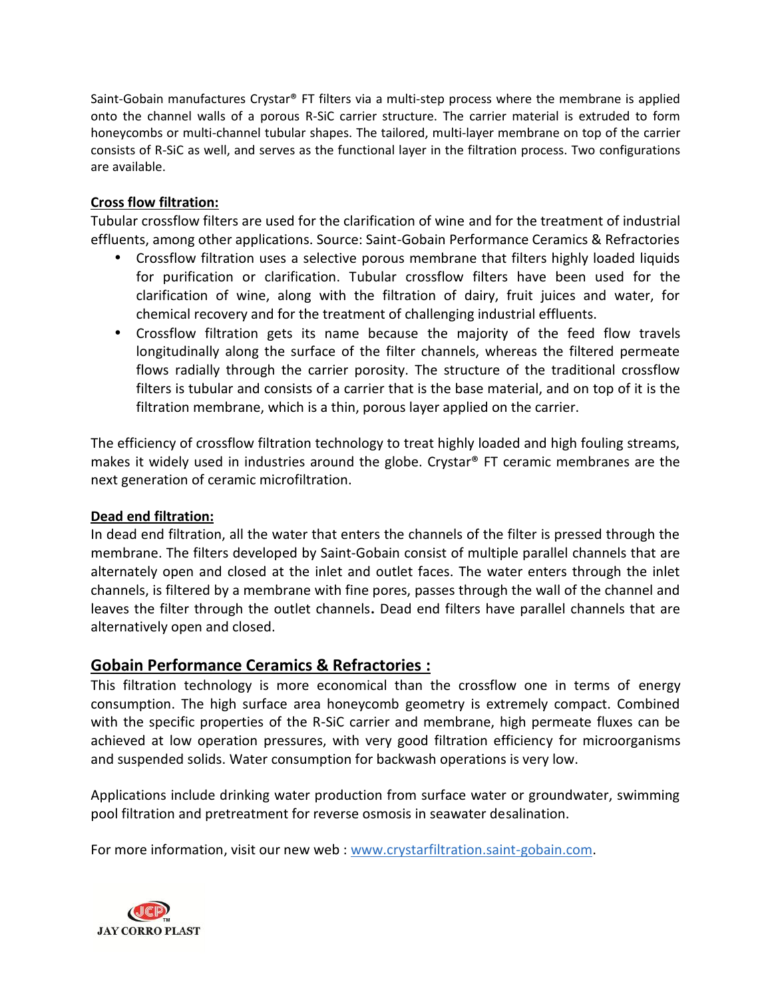Saint-Gobain manufactures Crystar® FT filters via a multi-step process where the membrane is applied onto the channel walls of a porous R-SiC carrier structure. The carrier material is extruded to form honeycombs or multi-channel tubular shapes. The tailored, multi-layer membrane on top of the carrier consists of R-SiC as well, and serves as the functional layer in the filtration process. Two configurations are available.

#### **Cross flow filtration:**

Tubular crossflow filters are used for the clarification of wine and for the treatment of industrial effluents, among other applications. Source: Saint-Gobain Performance Ceramics & Refractories

- Crossflow filtration uses a selective porous membrane that filters highly loaded liquids for purification or clarification. Tubular crossflow filters have been used for the clarification of wine, along with the filtration of dairy, fruit juices and water, for chemical recovery and for the treatment of challenging industrial effluents.
- Crossflow filtration gets its name because the majority of the feed flow travels longitudinally along the surface of the filter channels, whereas the filtered permeate flows radially through the carrier porosity. The structure of the traditional crossflow filters is tubular and consists of a carrier that is the base material, and on top of it is the filtration membrane, which is a thin, porous layer applied on the carrier.

The efficiency of crossflow filtration technology to treat highly loaded and high fouling streams, makes it widely used in industries around the globe. Crystar® FT ceramic membranes are the next generation of ceramic microfiltration.

#### **Dead end filtration:**

In dead end filtration, all the water that enters the channels of the filter is pressed through the membrane. The filters developed by Saint-Gobain consist of multiple parallel channels that are alternately open and closed at the inlet and outlet faces. The water enters through the inlet channels, is filtered by a membrane with fine pores, passes through the wall of the channel and leaves the filter through the outlet channels**.** Dead end filters have parallel channels that are alternatively open and closed.

#### **Gobain Performance Ceramics & Refractories :**

This filtration technology is more economical than the crossflow one in terms of energy consumption. The high surface area honeycomb geometry is extremely compact. Combined with the specific properties of the R-SiC carrier and membrane, high permeate fluxes can be achieved at low operation pressures, with very good filtration efficiency for microorganisms and suspended solids. Water consumption for backwash operations is very low.

Applications include drinking water production from surface water or groundwater, swimming pool filtration and pretreatment for reverse osmosis in seawater desalination.

For more information, visit our new web : www.crystarfiltration.saint-gobain.com.

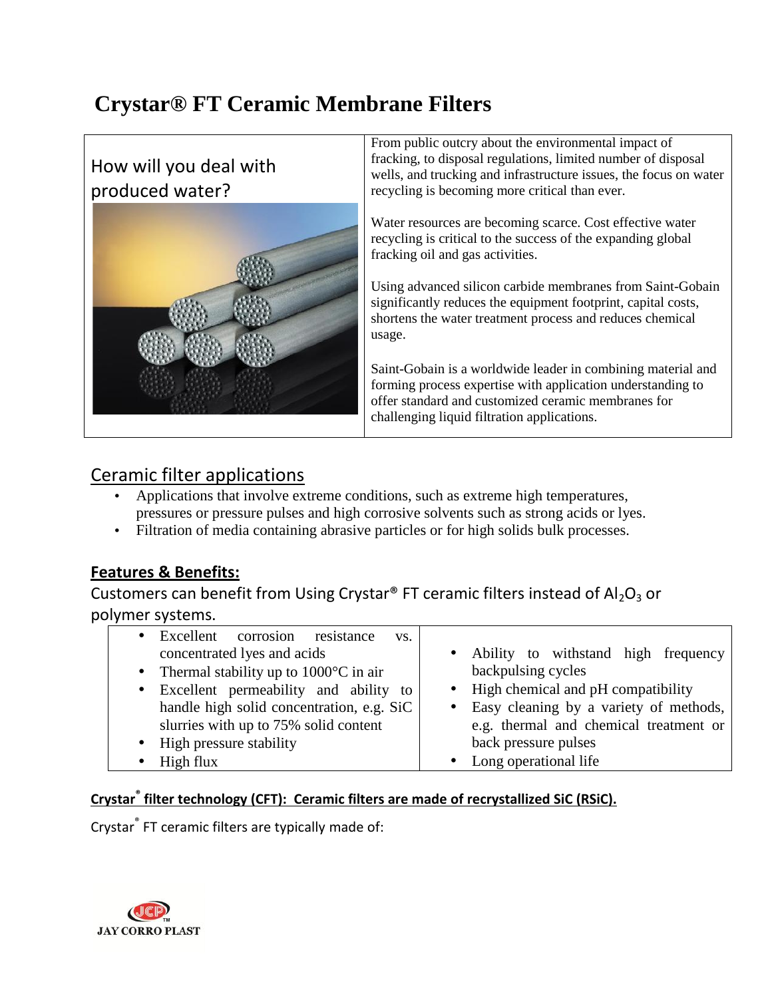# **Crystar® FT Ceramic Membrane Filters**

How will you deal with produced water?



From public outcry about the environmental impact of fracking, to disposal regulations, limited number of disposal wells, and trucking and infrastructure issues, the focus on water recycling is becoming more critical than ever.

Water resources are becoming scarce. Cost effective water recycling is critical to the success of the expanding global fracking oil and gas activities.

Using advanced silicon carbide membranes from Saint-Gobain significantly reduces the equipment footprint, capital costs, shortens the water treatment process and reduces chemical usage.

Saint-Gobain is a worldwide leader in combining material and forming process expertise with application understanding to offer standard and customized ceramic membranes for challenging liquid filtration applications.

### Ceramic filter applications

- Applications that involve extreme conditions, such as extreme high temperatures, pressures or pressure pulses and high corrosive solvents such as strong acids or lyes.
- Filtration of media containing abrasive particles or for high solids bulk processes.

#### **Features & Benefits:**

Customers can benefit from Using Crystar® FT ceramic filters instead of  $Al_2O_3$  or polymer systems.

| • Excellent corrosion resistance<br>VS.           |                                          |
|---------------------------------------------------|------------------------------------------|
| concentrated lyes and acids                       | Ability to withstand high frequency      |
| • Thermal stability up to $1000^{\circ}$ C in air | backpulsing cycles                       |
| • Excellent permeability and ability to           | • High chemical and pH compatibility     |
| handle high solid concentration, e.g. SiC         | • Easy cleaning by a variety of methods, |
| slurries with up to 75% solid content             | e.g. thermal and chemical treatment or   |
| • High pressure stability                         | back pressure pulses                     |
| High flux                                         | Long operational life                    |

#### **Crystar® filter technology (CFT): Ceramic filters are made of recrystallized SiC (RSiC).**

Crystar® FT ceramic filters are typically made of:

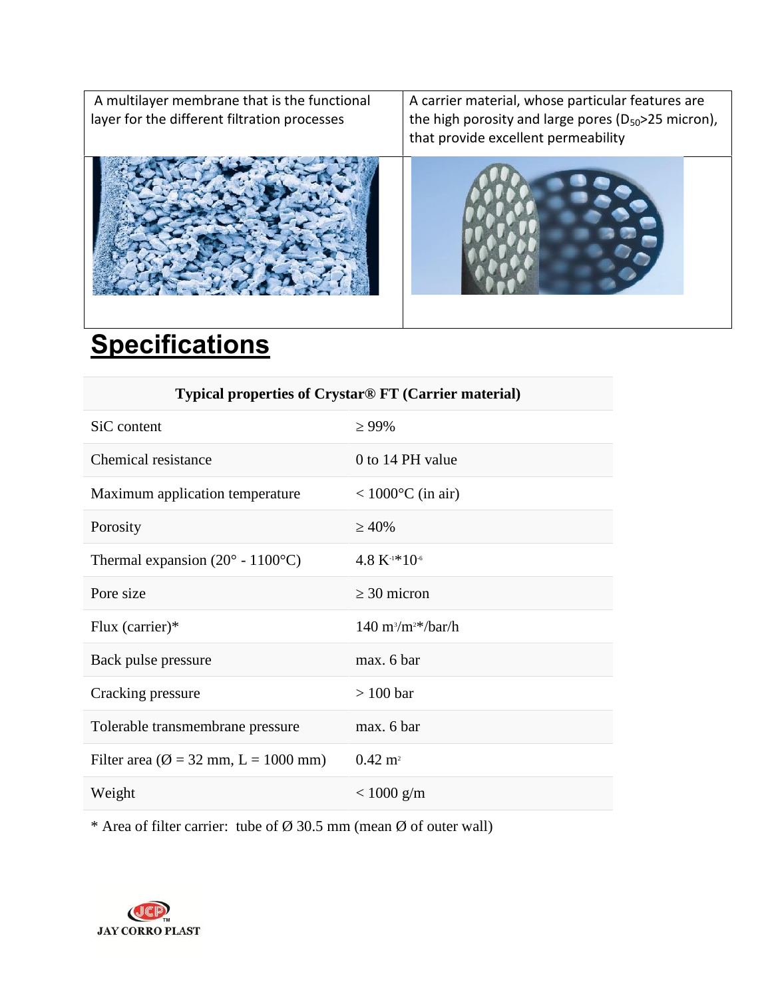| A multilayer membrane that is the functional<br>layer for the different filtration processes | A carrier material, whose particular features are<br>the high porosity and large pores ( $D_{50}$ >25 micron),<br>that provide excellent permeability |
|----------------------------------------------------------------------------------------------|-------------------------------------------------------------------------------------------------------------------------------------------------------|
|                                                                                              |                                                                                                                                                       |

# **Specifications**

| Typical properties of Crystar® FT (Carrier material) |                                     |  |
|------------------------------------------------------|-------------------------------------|--|
| SiC content                                          | 99%                                 |  |
| Chemical resistance                                  | 0 to 14 PH value                    |  |
| Maximum application temperature                      | $< 1000$ <sup>o</sup> C (in air)    |  |
| Porosity                                             | 40%                                 |  |
| Thermal expansion $(20^{\circ} - 1100^{\circ}C)$     | $4.8 K1*106$                        |  |
| Pore size                                            | 30 micron                           |  |
| Flux (carrier) $*$                                   | $140 \text{ m}^3/\text{m}^2$ /har/h |  |
| Back pulse pressure                                  | max. 6 bar                          |  |
| Cracking pressure                                    | $> 100$ bar                         |  |
| Tolerable transmembrane pressure                     | max. 6 bar                          |  |
| Filter area ( $\varnothing$ = 32 mm, L = 1000 mm)    | $0.42 \; \mathrm{m}^2$              |  |
| Weight                                               | $< 1000$ g/m                        |  |

\* Area of filter carrier: tube of  $\varnothing$  30.5 mm (mean  $\varnothing$  of outer wall)

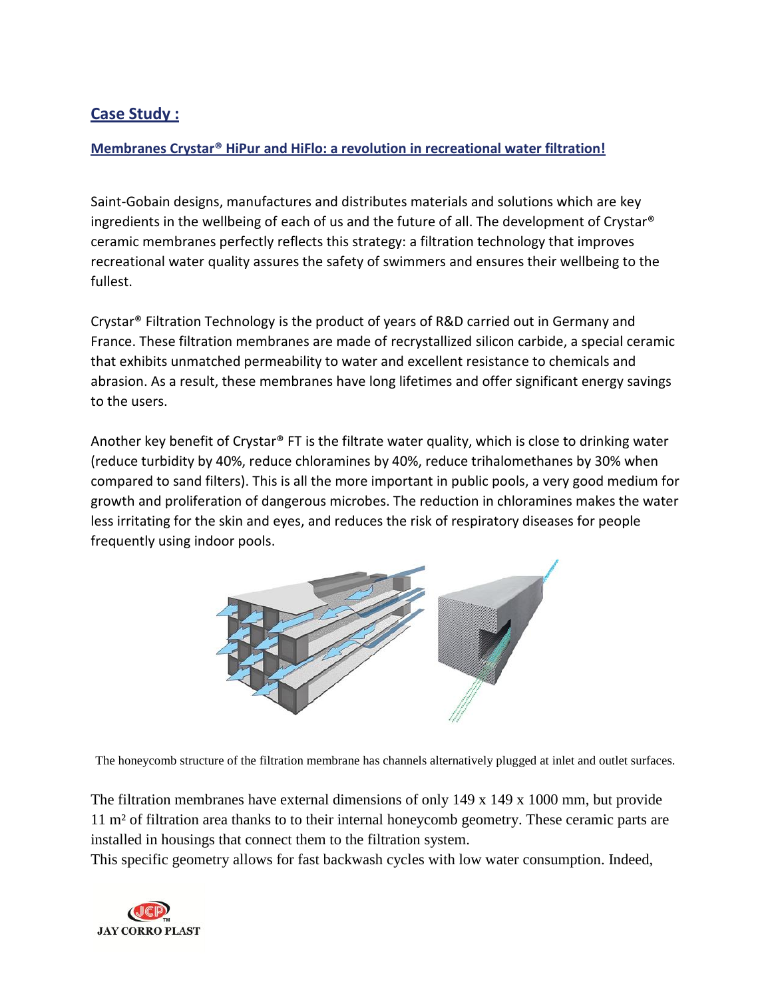#### **Case Study :**

#### **Membranes Crystar® HiPur and HiFlo: a revolution in recreational water filtration!**

Saint-Gobain designs, manufactures and distributes materials and solutions which are key ingredients in the wellbeing of each of us and the future of all. The development of Crystar® ceramic membranes perfectly reflects this strategy: a filtration technology that improves recreational water quality assures the safety of swimmers and ensures their wellbeing to the fullest.

Crystar® Filtration Technology is the product of years of R&D carried out in Germany and France. These filtration membranes are made of recrystallized silicon carbide, a special ceramic that exhibits unmatched permeability to water and excellent resistance to chemicals and abrasion. As a result, these membranes have long lifetimes and offer significant energy savings to the users.

Another key benefit of Crystar® FT is the filtrate water quality, which is close to drinking water (reduce turbidity by 40%, reduce chloramines by 40%, reduce trihalomethanes by 30% when compared to sand filters). This is all the more important in public pools, a very good medium for growth and proliferation of dangerous microbes. The reduction in chloramines makes the water less irritating for the skin and eyes, and reduces the risk of respiratory diseases for people frequently using indoor pools.



The honeycomb structure of the filtration membrane has channels alternatively plugged at inlet and outlet surfaces.

The filtration membranes have external dimensions of only  $149 \times 149 \times 1000$  mm, but provide 11 m² of filtration area thanks to to their internal honeycomb geometry. These ceramic parts are installed in housings that connect them to the filtration system.

This specific geometry allows for fast backwash cycles with low water consumption. Indeed,

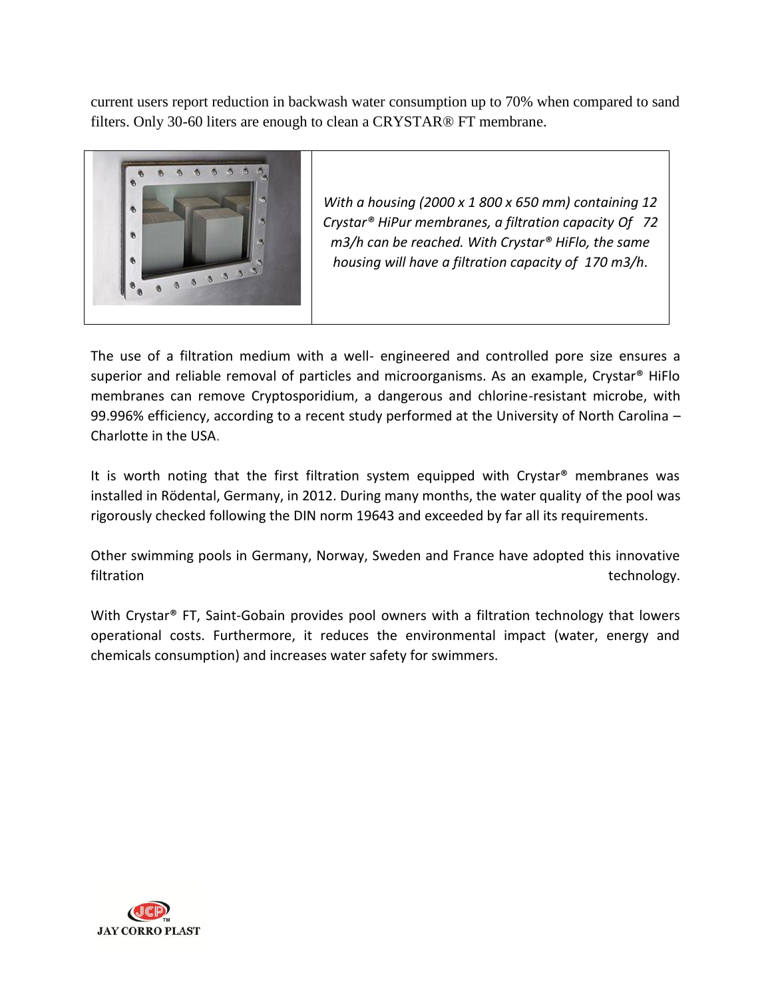current users report reduction in backwash water consumption up to 70% when compared to sand filters. Only 30-60 liters are enough to clean a CRYSTAR® FT membrane.



*With a housing (2000 x 1 800 x 650 mm) containing 12 Crystar® HiPur membranes, a filtration capacity Of 72 m3/h can be reached. With Crystar® HiFlo, the same housing will have a filtration capacity of 170 m3/h*.

The use of a filtration medium with a well- engineered and controlled pore size ensures a superior and reliable removal of particles and microorganisms. As an example, Crystar® HiFlo membranes can remove Cryptosporidium, a dangerous and chlorine-resistant microbe, with 99.996% efficiency, according to a recent study performed at the University of North Carolina – Charlotte in the USA.

It is worth noting that the first filtration system equipped with Crystar® membranes was installed in Rödental, Germany, in 2012. During many months, the water quality of the pool was rigorously checked following the DIN norm 19643 and exceeded by far all its requirements.

Other swimming pools in Germany, Norway, Sweden and France have adopted this innovative filtration technology.

With Crystar<sup>®</sup> FT, Saint-Gobain provides pool owners with a filtration technology that lowers operational costs. Furthermore, it reduces the environmental impact (water, energy and chemicals consumption) and increases water safety for swimmers.

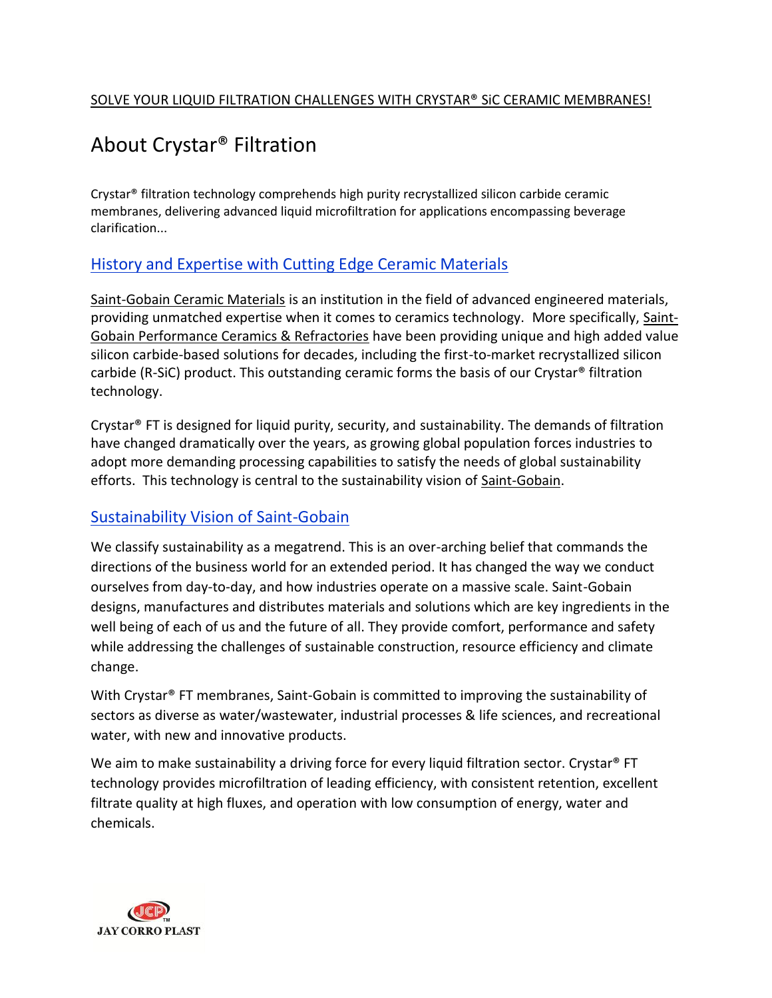# About Crystar® Filtration

Crystar® filtration technology comprehends high purity recrystallized silicon carbide ceramic membranes, delivering advanced liquid microfiltration for applications encompassing beverage clarification...

#### History and Expertise with Cutting Edge Ceramic Materials

Saint-Gobain Ceramic Materials is an institution in the field of advanced engineered materials, providing unmatched expertise when it comes to ceramics technology. More specifically, Saint- Gobain Performance Ceramics & Refractories have been providing unique and high added value silicon carbide-based solutions for decades, including the first-to-market recrystallized silicon carbide (R-SiC) product. This outstanding ceramic forms the basis of our Crystar® filtration technology.

Crystar® FT is designed for liquid purity, security, and sustainability. The demands of filtration have changed dramatically over the years, as growing global population forces industries to adopt more demanding processing capabilities to satisfy the needs of global sustainability efforts. This technology is central to the sustainability vision of Saint-Gobain.

#### Sustainability Vision of Saint-Gobain

We classify sustainability as a megatrend. This is an over-arching belief that commands the directions of the business world for an extended period. It has changed the way we conduct ourselves from day-to-day, and how industries operate on a massive scale. Saint-Gobain designs, manufactures and distributes materials and solutions which are key ingredients in the well being of each of us and the future of all. They provide comfort, performance and safety while addressing the challenges of sustainable construction, resource efficiency and climate change.

With Crystar<sup>®</sup> FT membranes, Saint-Gobain is committed to improving the sustainability of sectors as diverse as water/wastewater, industrial processes & life sciences, and recreational water, with new and innovative products.

We aim to make sustainability a driving force for every liquid filtration sector. Crystar<sup>®</sup> FT technology provides microfiltration of leading efficiency, with consistent retention, excellent filtrate quality at high fluxes, and operation with low consumption of energy, water and chemicals.

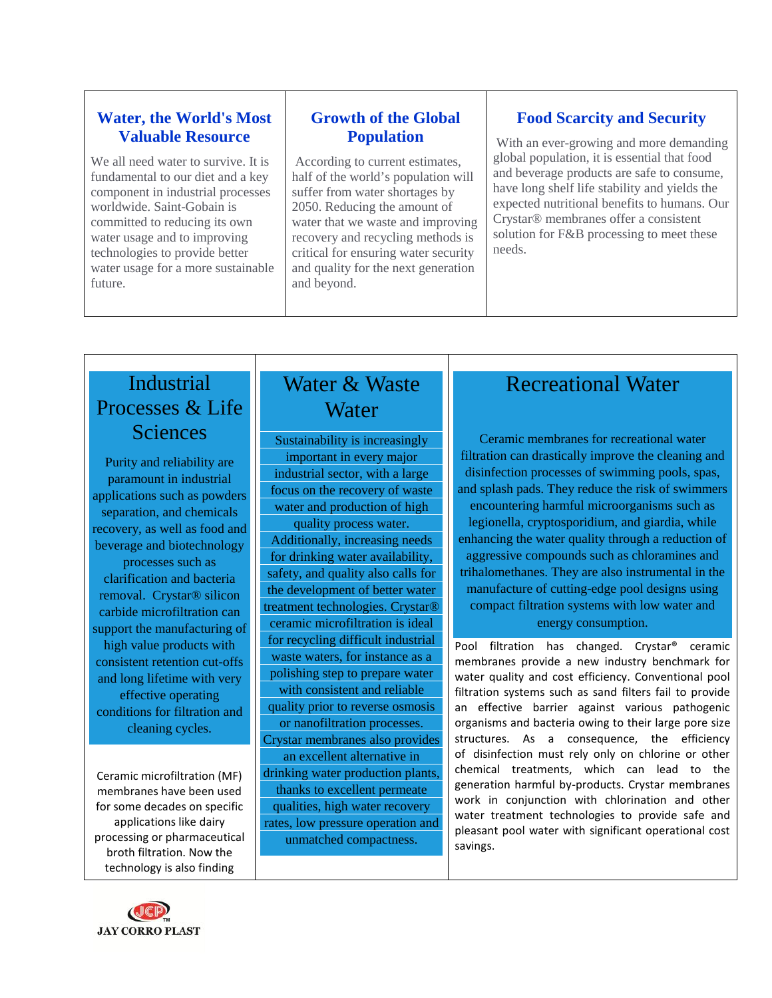#### **Water, the World's Most Valuable Resource**

We all need water to survive. It is fundamental to our diet and a key component in industrial processes worldwide. Saint-Gobain is committed to reducing its own water usage and to improving technologies to provide better water usage for a more sustainable future.

#### **Growth of the Global Population**

According to current estimates, half of the world's population will suffer from water shortages by 2050. Reducing the amount of water that we waste and improving recovery and recycling methods is critical for ensuring water security and quality for the next generation and beyond.

#### **Food Scarcity and Security**

With an ever-growing and more demanding global population, it is essential that food and beverage products are safe to consume, have long shelf life stability and yields the expected nutritional benefits to humans. Our Crystar® membranes offer a consistent solution for F&B processing to meet these needs.

## Industrial Processes & Life **Sciences**

Purity and reliability are paramount in industrial applications such as powders separation, and chemicals recovery, as well as food and beverage and biotechnology processes such as clarification and bacteria removal. Crystar® silicon

carbide microfiltration can support the manufacturing of high value products with consistent retention cut-offs and long lifetime with very effective operating conditions for filtration and cleaning cycles.

Ceramic microfiltration (MF) membranes have been used for some decades on specific applications like dairy processing or pharmaceutical broth filtration. Now the technology is also finding

### Water & Waste **Water**

Sustainability is increasingly important in every major industrial sector, with a large focus on the recovery of waste water and production of high

quality process water. Additionally, increasing needs for drinking water availability, safety, and quality also calls for the development of better water treatment technologies. Crystar® ceramic microfiltration is ideal for recycling difficult industrial waste waters, for instance as a polishing step to prepare water

with consistent and reliable quality prior to reverse osmosis or nanofiltration processes.

Crystar membranes also provides an excellent alternative in drinking water production plants, thanks to excellent permeate qualities, high water recovery rates, low pressure operation and unmatched compactness.

# Recreational Water

Ceramic membranes for recreational water filtration can drastically improve the cleaning and disinfection processes of swimming pools, spas, and splash pads. They reduce the risk of swimmers encountering harmful microorganisms such as legionella, cryptosporidium, and giardia, while enhancing the water quality through a reduction of aggressive compounds such as chloramines and trihalomethanes. They are also instrumental in the manufacture of cutting-edge pool designs using compact filtration systems with low water and energy consumption.

Pool filtration has changed. Crystar® ceramic membranes provide a new industry benchmark for water quality and cost efficiency. Conventional pool filtration systems such as sand filters fail to provide an effective barrier against various pathogenic organisms and bacteria owing to their large pore size structures. As a consequence, the efficiency of disinfection must rely only on chlorine or other chemical treatments, which can lead to the generation harmful by-products. Crystar membranes work in conjunction with chlorination and other water treatment technologies to provide safe and pleasant pool water with significant operational cost savings.

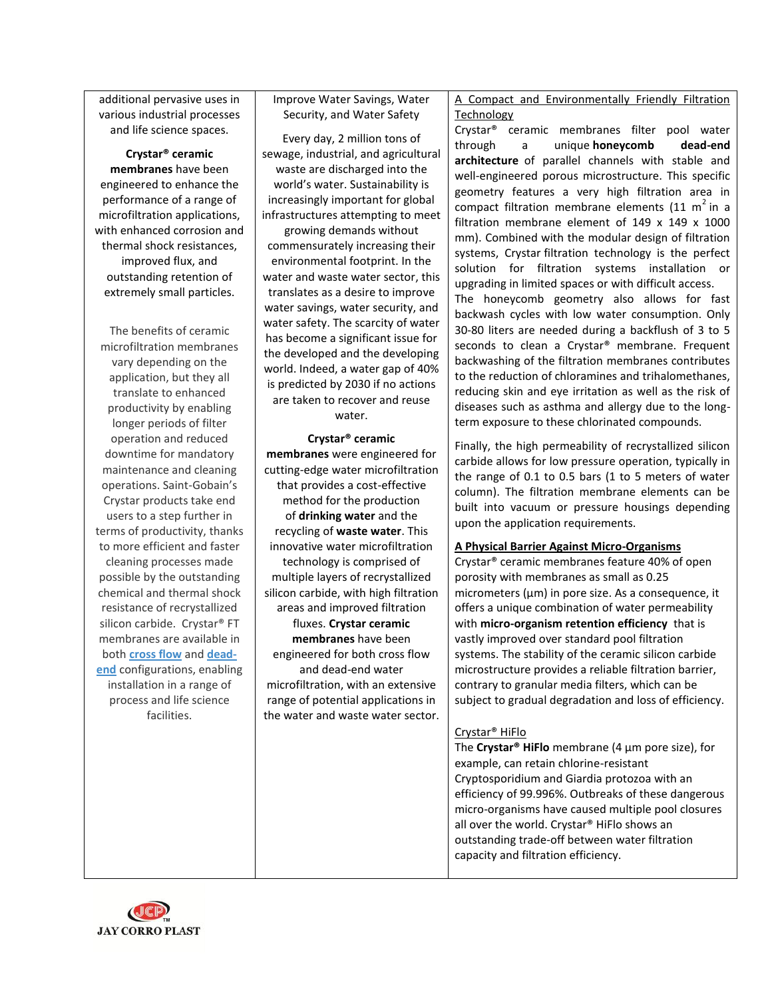additional pervasive uses in various industrial processes and life science spaces.

**Crystar® ceramic membranes** have been engineered to enhance the performance of a range of microfiltration applications, with enhanced corrosion and thermal shock resistances, improved flux, and outstanding retention of extremely small particles.

The benefits of ceramic microfiltration membranes vary depending on the application, but they all translate to enhanced productivity by enabling longer periods of filter operation and reduced downtime for mandatory maintenance and cleaning operations. Saint-Gobain's Crystar products take end users to a step further in terms of productivity, thanks to more efficient and faster cleaning processes made possible by the outstanding chemical and thermal shock resistance of recrystallized silicon carbide. Crystar® FT membranes are available in both **cross flow** and **dead end** configurations, enabling installation in a range of process and life science facilities.

Improve Water Savings, Water Security, and Water Safety

Every day, 2 million tons of sewage, industrial, and agricultural waste are discharged into the world's water. Sustainability is increasingly important for global infrastructures attempting to meet

growing demands without commensurately increasing their environmental footprint. In the water and waste water sector, this translates as a desire to improve water savings, water security, and water safety. The scarcity of water has become a significant issue for the developed and the developing world. Indeed, a water gap of 40% is predicted by 2030 if no actions are taken to recover and reuse water.

#### **Crystar® ceramic**

**membranes** were engineered for cutting-edge water microfiltration that provides a cost-effective method for the production of **drinking water** and the recycling of **waste water**. This innovative water microfiltration technology is comprised of multiple layers of recrystallized silicon carbide, with high filtration areas and improved filtration fluxes. **Crystar ceramic membranes** have been engineered for both cross flow and dead-end water microfiltration, with an extensive range of potential applications in the water and waste water sector. A Compact and Environmentally Friendly Filtration Technology

Crystar® ceramic membranes filter pool water a unique **honeycomb** dead-end **architecture** of parallel channels with stable and well-engineered porous microstructure. This specific geometry features a very high filtration area in compact filtration membrane elements (11 m<sup>2</sup> in a filtration membrane element of 149 x 149 x 1000 mm). Combined with the modular design of filtration systems, Crystar filtration technology is the perfect solution for filtration systems installation or upgrading in limited spaces or with difficult access.

The honeycomb geometry also allows for fast backwash cycles with low water consumption. Only 30-80 liters are needed during a backflush of 3 to 5 seconds to clean a Crystar® membrane. Frequent backwashing of the filtration membranes contributes to the reduction of chloramines and trihalomethanes, reducing skin and eye irritation as well as the risk of diseases such as asthma and allergy due to the long term exposure to these chlorinated compounds.

Finally, the high permeability of recrystallized silicon carbide allows for low pressure operation, typically in the range of 0.1 to 0.5 bars (1 to 5 meters of water column). The filtration membrane elements can be built into vacuum or pressure housings depending upon the application requirements.

#### **A Physical Barrier Against Micro-Organisms**

Crystar® ceramic membranes feature 40% of open porosity with membranes as small as 0.25 micrometers (µm) in pore size. As a consequence, it offers a unique combination of water permeability with **micro-organism retention efficiency** that is vastly improved over standard pool filtration systems. The stability of the ceramic silicon carbide microstructure provides a reliable filtration barrier, contrary to granular media filters, which can be subject to gradual degradation and loss of efficiency.

#### Crystar® HiFlo

The **Crystar® HiFlo** membrane (4 µm pore size), for example, can retain chlorine-resistant Cryptosporidium and Giardia protozoa with an efficiency of 99.996%. Outbreaks of these dangerous micro-organisms have caused multiple pool closures all over the world. Crystar® HiFlo shows an outstanding trade-off between water filtration capacity and filtration efficiency.

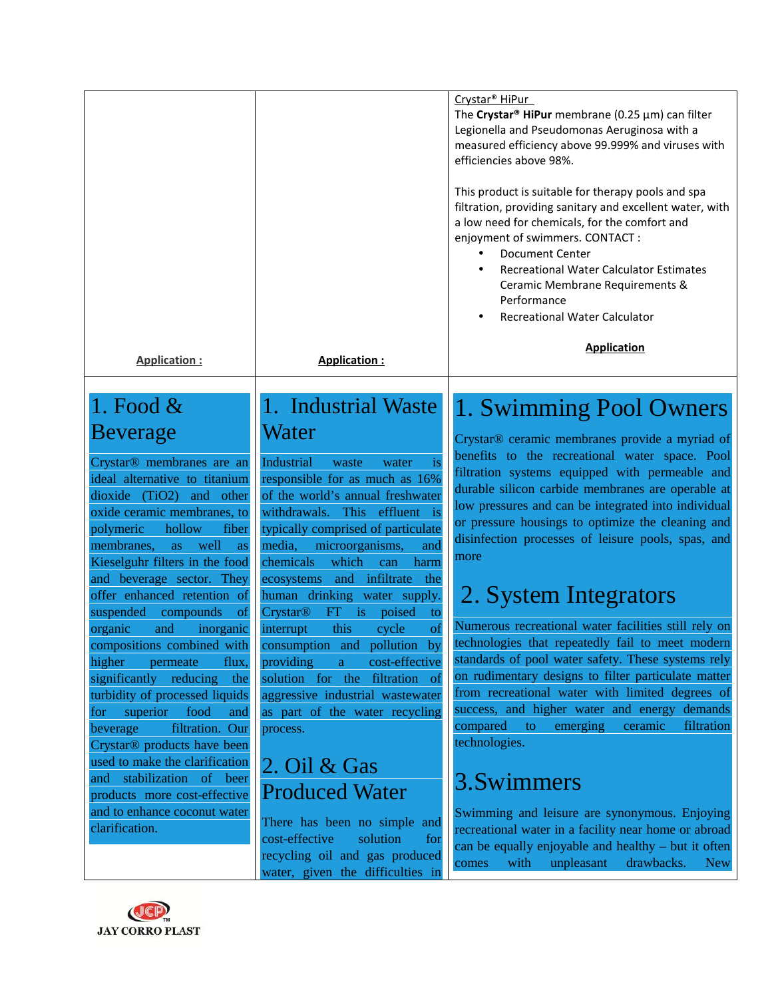|                                                                                                                                                                                                                                                                                                                                                                                                                                                                                              |                                                                                                                                                                                                                                                                                                                                                                                                                                                                                                    | Crystar <sup>®</sup> HiPur<br>The Crystar <sup>®</sup> HiPur membrane (0.25 $\mu$ m) can filter<br>Legionella and Pseudomonas Aeruginosa with a<br>measured efficiency above 99.999% and viruses with<br>efficiencies above 98%.<br>This product is suitable for therapy pools and spa<br>filtration, providing sanitary and excellent water, with<br>a low need for chemicals, for the comfort and<br>enjoyment of swimmers. CONTACT :<br><b>Document Center</b><br><b>Recreational Water Calculator Estimates</b><br>Ceramic Membrane Requirements &<br>Performance<br><b>Recreational Water Calculator</b> |
|----------------------------------------------------------------------------------------------------------------------------------------------------------------------------------------------------------------------------------------------------------------------------------------------------------------------------------------------------------------------------------------------------------------------------------------------------------------------------------------------|----------------------------------------------------------------------------------------------------------------------------------------------------------------------------------------------------------------------------------------------------------------------------------------------------------------------------------------------------------------------------------------------------------------------------------------------------------------------------------------------------|---------------------------------------------------------------------------------------------------------------------------------------------------------------------------------------------------------------------------------------------------------------------------------------------------------------------------------------------------------------------------------------------------------------------------------------------------------------------------------------------------------------------------------------------------------------------------------------------------------------|
| <b>Application:</b>                                                                                                                                                                                                                                                                                                                                                                                                                                                                          | <b>Application:</b>                                                                                                                                                                                                                                                                                                                                                                                                                                                                                | <b>Application</b>                                                                                                                                                                                                                                                                                                                                                                                                                                                                                                                                                                                            |
| 1. Food $\&$<br><b>Beverage</b><br>Crystar <sup>®</sup> membranes are an<br>ideal alternative to titanium<br>dioxide (TiO2) and other<br>oxide ceramic membranes, to<br>polymeric<br>hollow<br>fiber<br>membranes,<br>well<br>as<br>as<br>Kieselguhr filters in the food<br>and beverage sector. They<br>offer enhanced retention of<br>suspended<br>compounds<br>- of<br>organic<br>and<br>inorganic<br>compositions combined with consumption and pollution<br>higher<br>permeate<br>flux, | 1. Industrial Waste<br>Water<br>Industrial<br>waste<br>water<br><i>is</i><br>responsible for as much as 16%<br>of the world's annual freshwater<br>withdrawals. This effluent is<br>typically comprised of particulate<br>media,<br>microorganisms,<br>and<br>which<br>chemicals<br>can<br>harm<br>infiltrate<br>ecosystems and<br>the<br>human drinking water supply.<br>$FT$ is<br><b>Crystar®</b><br>poised<br>to<br>this<br>cycle<br>interrupt<br>of<br>by<br>providing<br>cost-effective<br>a | 1. Swimming Pool Owners<br>Crystar® ceramic membranes provide a myriad of<br>benefits to the recreational water space. Pool<br>filtration systems equipped with permeable and<br>durable silicon carbide membranes are operable at<br>low pressures and can be integrated into individual<br>or pressure housings to optimize the cleaning and<br>disinfection processes of leisure pools, spas, and<br>more<br>2. System Integrators<br>Numerous recreational water facilities still rely on<br>technologies that repeatedly fail to meet modern<br>standards of pool water safety. These systems rely       |
| significantly reducing<br>the<br>turbidity of processed liquids<br>food<br>superior<br>and<br>for<br>filtration. Our<br>beverage<br>Crystar® products have been<br>used to make the clarification<br>stabilization of beer<br>and<br>products more cost-effective<br>and to enhance coconut water<br>clarification.                                                                                                                                                                          | solution for the filtration of<br>aggressive industrial wastewater<br>as part of the water recycling<br>process.<br>2. Oil $&$ Gas<br><b>Produced Water</b><br>There has been no simple and<br>cost-effective<br>solution<br>for<br>recycling oil and gas produced<br>water, given the difficulties in                                                                                                                                                                                             | on rudimentary designs to filter particulate matter<br>from recreational water with limited degrees of<br>success, and higher water and energy demands<br>compared<br>emerging<br>ceramic<br>$\overline{\phantom{a}}$ to<br>filtration<br>technologies.<br>3.Swimmers<br>Swimming and leisure are synonymous. Enjoying<br>recreational water in a facility near home or abroad<br>can be equally enjoyable and healthy – but it often<br>with<br>unpleasant<br>drawbacks.<br><b>New</b><br>comes                                                                                                              |